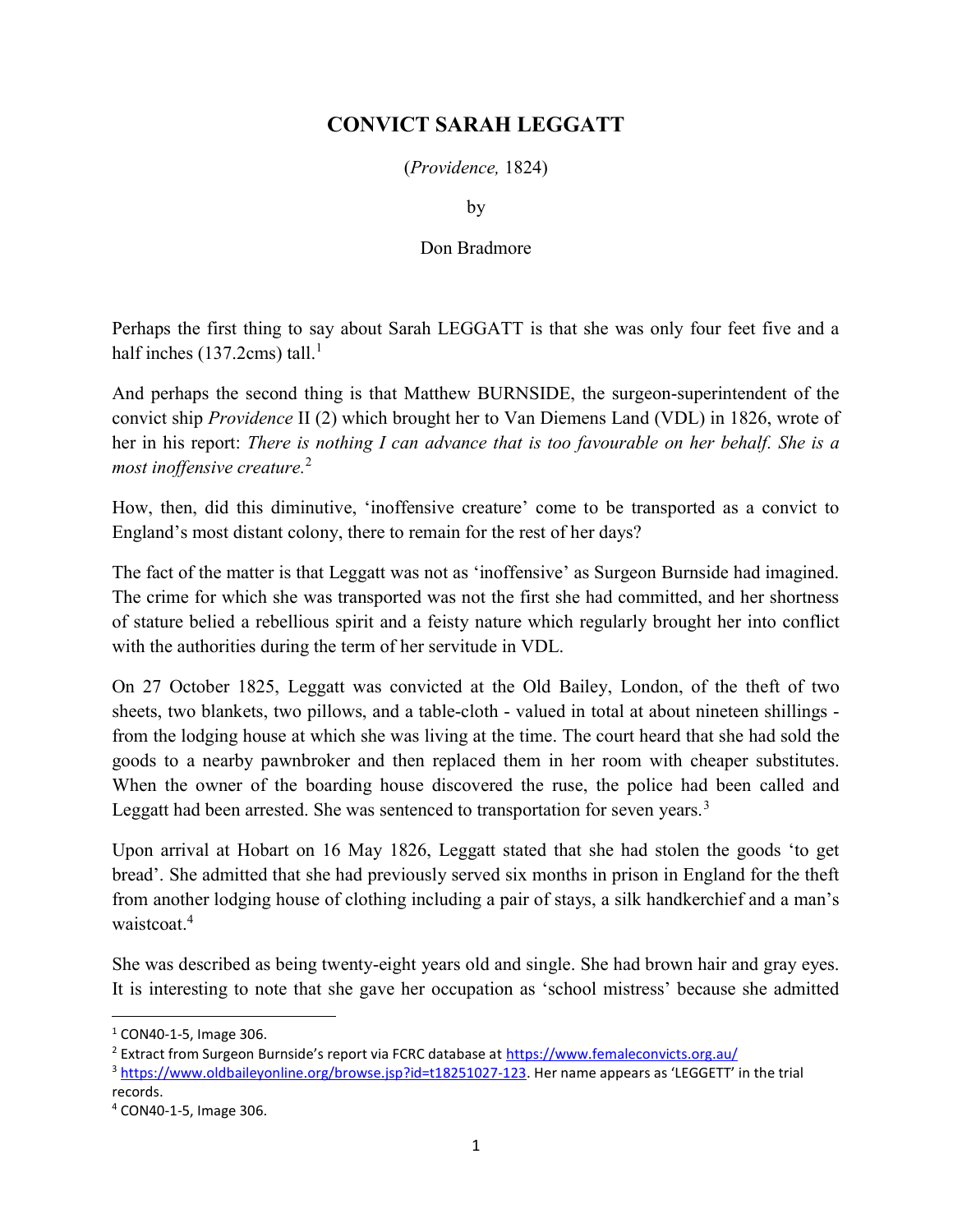## CONVICT SARAH LEGGATT

(Providence, 1824)

by

## Don Bradmore

Perhaps the first thing to say about Sarah LEGGATT is that she was only four feet five and a half inches  $(137.2cm)$  tall.<sup>1</sup>

And perhaps the second thing is that Matthew BURNSIDE, the surgeon-superintendent of the convict ship Providence II (2) which brought her to Van Diemens Land (VDL) in 1826, wrote of her in his report: There is nothing I can advance that is too favourable on her behalf. She is a most inoffensive creature. $2$ 

How, then, did this diminutive, 'inoffensive creature' come to be transported as a convict to England's most distant colony, there to remain for the rest of her days?

The fact of the matter is that Leggatt was not as 'inoffensive' as Surgeon Burnside had imagined. The crime for which she was transported was not the first she had committed, and her shortness of stature belied a rebellious spirit and a feisty nature which regularly brought her into conflict with the authorities during the term of her servitude in VDL.

On 27 October 1825, Leggatt was convicted at the Old Bailey, London, of the theft of two sheets, two blankets, two pillows, and a table-cloth - valued in total at about nineteen shillings from the lodging house at which she was living at the time. The court heard that she had sold the goods to a nearby pawnbroker and then replaced them in her room with cheaper substitutes. When the owner of the boarding house discovered the ruse, the police had been called and Leggatt had been arrested. She was sentenced to transportation for seven years.<sup>3</sup>

Upon arrival at Hobart on 16 May 1826, Leggatt stated that she had stolen the goods 'to get bread'. She admitted that she had previously served six months in prison in England for the theft from another lodging house of clothing including a pair of stays, a silk handkerchief and a man's waistcoat.<sup>4</sup>

She was described as being twenty-eight years old and single. She had brown hair and gray eyes. It is interesting to note that she gave her occupation as 'school mistress' because she admitted

 $\overline{a}$ 

<sup>1</sup> CON40-1-5, Image 306.

<sup>&</sup>lt;sup>2</sup> Extract from Surgeon Burnside's report via FCRC database at https://www.femaleconvicts.org.au/

<sup>3</sup> https://www.oldbaileyonline.org/browse.jsp?id=t18251027-123. Her name appears as 'LEGGETT' in the trial records.

<sup>4</sup> CON40-1-5, Image 306.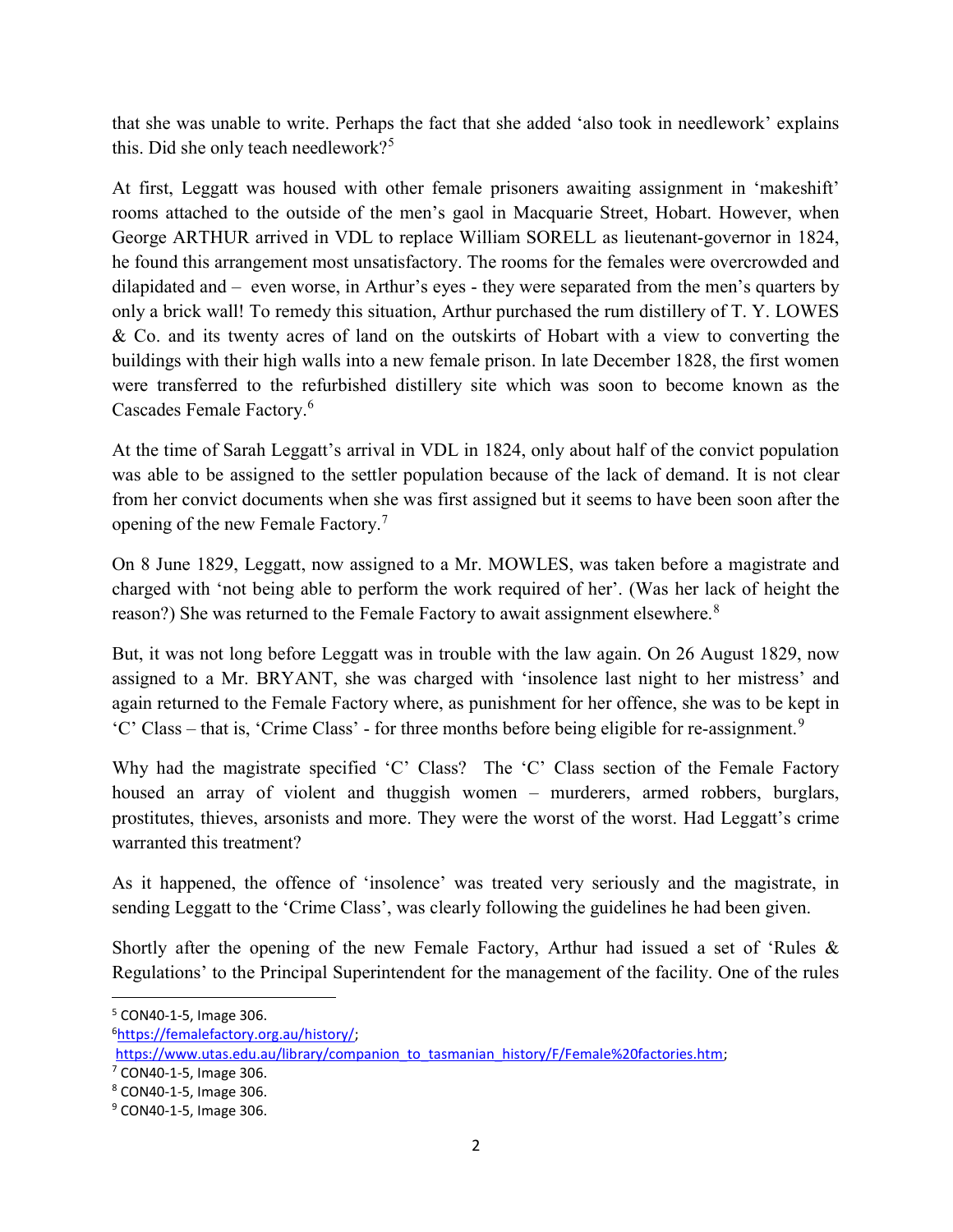that she was unable to write. Perhaps the fact that she added 'also took in needlework' explains this. Did she only teach needlework?<sup>5</sup>

At first, Leggatt was housed with other female prisoners awaiting assignment in 'makeshift' rooms attached to the outside of the men's gaol in Macquarie Street, Hobart. However, when George ARTHUR arrived in VDL to replace William SORELL as lieutenant-governor in 1824, he found this arrangement most unsatisfactory. The rooms for the females were overcrowded and dilapidated and – even worse, in Arthur's eyes - they were separated from the men's quarters by only a brick wall! To remedy this situation, Arthur purchased the rum distillery of T. Y. LOWES & Co. and its twenty acres of land on the outskirts of Hobart with a view to converting the buildings with their high walls into a new female prison. In late December 1828, the first women were transferred to the refurbished distillery site which was soon to become known as the Cascades Female Factory.<sup>6</sup>

At the time of Sarah Leggatt's arrival in VDL in 1824, only about half of the convict population was able to be assigned to the settler population because of the lack of demand. It is not clear from her convict documents when she was first assigned but it seems to have been soon after the opening of the new Female Factory.<sup>7</sup>

On 8 June 1829, Leggatt, now assigned to a Mr. MOWLES, was taken before a magistrate and charged with 'not being able to perform the work required of her'. (Was her lack of height the reason?) She was returned to the Female Factory to await assignment elsewhere.<sup>8</sup>

But, it was not long before Leggatt was in trouble with the law again. On 26 August 1829, now assigned to a Mr. BRYANT, she was charged with 'insolence last night to her mistress' and again returned to the Female Factory where, as punishment for her offence, she was to be kept in  $°C'$  Class – that is, 'Crime Class' - for three months before being eligible for re-assignment.<sup>9</sup>

Why had the magistrate specified 'C' Class? The 'C' Class section of the Female Factory housed an array of violent and thuggish women – murderers, armed robbers, burglars, prostitutes, thieves, arsonists and more. They were the worst of the worst. Had Leggatt's crime warranted this treatment?

As it happened, the offence of 'insolence' was treated very seriously and the magistrate, in sending Leggatt to the 'Crime Class', was clearly following the guidelines he had been given.

Shortly after the opening of the new Female Factory, Arthur had issued a set of 'Rules & Regulations' to the Principal Superintendent for the management of the facility. One of the rules

<sup>5</sup> CON40-1-5, Image 306.

<sup>6</sup>https://femalefactory.org.au/history/;

https://www.utas.edu.au/library/companion\_to\_tasmanian\_history/F/Female%20factories.htm;

 $7$  CON40-1-5, Image 306.

<sup>8</sup> CON40-1-5, Image 306.

<sup>&</sup>lt;sup>9</sup> CON40-1-5, Image 306.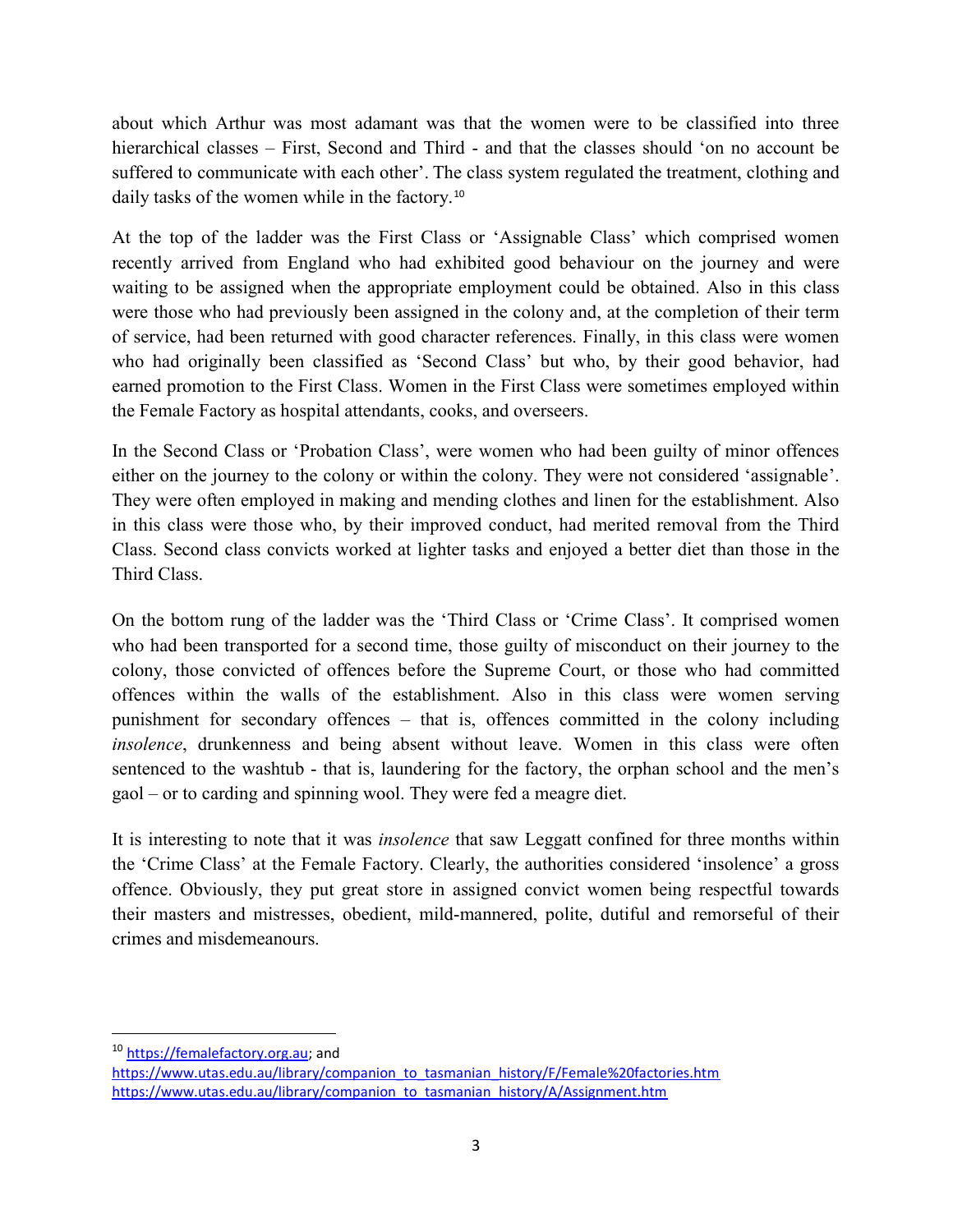about which Arthur was most adamant was that the women were to be classified into three hierarchical classes – First, Second and Third - and that the classes should 'on no account be suffered to communicate with each other'. The class system regulated the treatment, clothing and daily tasks of the women while in the factory.<sup>10</sup>

At the top of the ladder was the First Class or 'Assignable Class' which comprised women recently arrived from England who had exhibited good behaviour on the journey and were waiting to be assigned when the appropriate employment could be obtained. Also in this class were those who had previously been assigned in the colony and, at the completion of their term of service, had been returned with good character references. Finally, in this class were women who had originally been classified as 'Second Class' but who, by their good behavior, had earned promotion to the First Class. Women in the First Class were sometimes employed within the Female Factory as hospital attendants, cooks, and overseers.

In the Second Class or 'Probation Class', were women who had been guilty of minor offences either on the journey to the colony or within the colony. They were not considered 'assignable'. They were often employed in making and mending clothes and linen for the establishment. Also in this class were those who, by their improved conduct, had merited removal from the Third Class. Second class convicts worked at lighter tasks and enjoyed a better diet than those in the Third Class.

On the bottom rung of the ladder was the 'Third Class or 'Crime Class'. It comprised women who had been transported for a second time, those guilty of misconduct on their journey to the colony, those convicted of offences before the Supreme Court, or those who had committed offences within the walls of the establishment. Also in this class were women serving punishment for secondary offences – that is, offences committed in the colony including insolence, drunkenness and being absent without leave. Women in this class were often sentenced to the washtub - that is, laundering for the factory, the orphan school and the men's gaol – or to carding and spinning wool. They were fed a meagre diet.

It is interesting to note that it was insolence that saw Leggatt confined for three months within the 'Crime Class' at the Female Factory. Clearly, the authorities considered 'insolence' a gross offence. Obviously, they put great store in assigned convict women being respectful towards their masters and mistresses, obedient, mild-mannered, polite, dutiful and remorseful of their crimes and misdemeanours.

<sup>10</sup> https://femalefactory.org.au; and

https://www.utas.edu.au/library/companion\_to\_tasmanian\_history/F/Female%20factories.htm https://www.utas.edu.au/library/companion\_to\_tasmanian\_history/A/Assignment.htm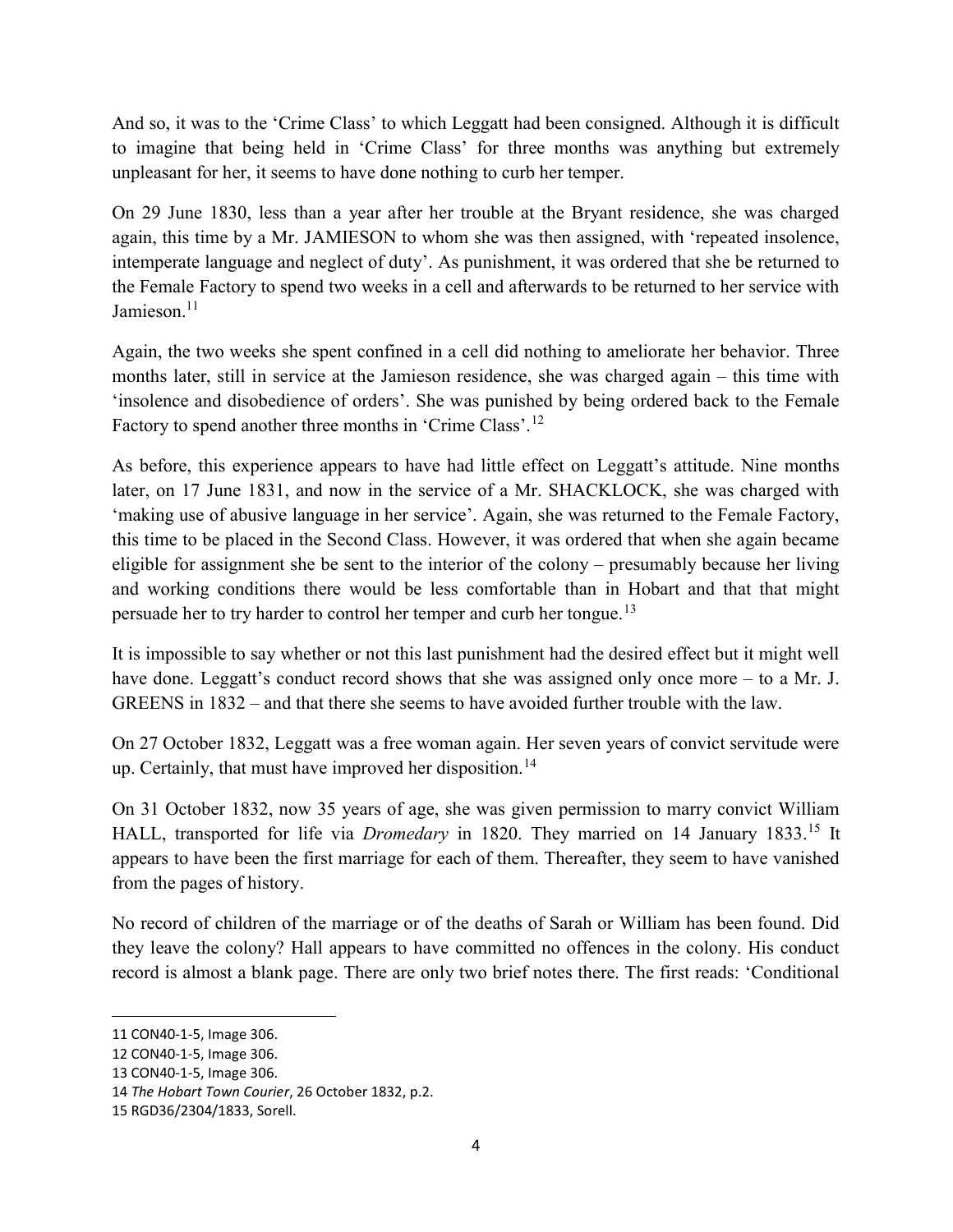And so, it was to the 'Crime Class' to which Leggatt had been consigned. Although it is difficult to imagine that being held in 'Crime Class' for three months was anything but extremely unpleasant for her, it seems to have done nothing to curb her temper.

On 29 June 1830, less than a year after her trouble at the Bryant residence, she was charged again, this time by a Mr. JAMIESON to whom she was then assigned, with 'repeated insolence, intemperate language and neglect of duty'. As punishment, it was ordered that she be returned to the Female Factory to spend two weeks in a cell and afterwards to be returned to her service with Jamieson.<sup>11</sup>

Again, the two weeks she spent confined in a cell did nothing to ameliorate her behavior. Three months later, still in service at the Jamieson residence, she was charged again – this time with 'insolence and disobedience of orders'. She was punished by being ordered back to the Female Factory to spend another three months in 'Crime Class'.<sup>12</sup>

As before, this experience appears to have had little effect on Leggatt's attitude. Nine months later, on 17 June 1831, and now in the service of a Mr. SHACKLOCK, she was charged with 'making use of abusive language in her service'. Again, she was returned to the Female Factory, this time to be placed in the Second Class. However, it was ordered that when she again became eligible for assignment she be sent to the interior of the colony – presumably because her living and working conditions there would be less comfortable than in Hobart and that that might persuade her to try harder to control her temper and curb her tongue.<sup>13</sup>

It is impossible to say whether or not this last punishment had the desired effect but it might well have done. Leggatt's conduct record shows that she was assigned only once more – to a Mr. J. GREENS in 1832 – and that there she seems to have avoided further trouble with the law.

On 27 October 1832, Leggatt was a free woman again. Her seven years of convict servitude were up. Certainly, that must have improved her disposition.<sup>14</sup>

On 31 October 1832, now 35 years of age, she was given permission to marry convict William HALL, transported for life via *Dromedary* in 1820. They married on 14 January 1833.<sup>15</sup> It appears to have been the first marriage for each of them. Thereafter, they seem to have vanished from the pages of history.

No record of children of the marriage or of the deaths of Sarah or William has been found. Did they leave the colony? Hall appears to have committed no offences in the colony. His conduct record is almost a blank page. There are only two brief notes there. The first reads: 'Conditional

 $\overline{a}$ 

<sup>11</sup> CON40-1-5, Image 306.

<sup>12</sup> CON40-1-5, Image 306.

<sup>13</sup> CON40-1-5, Image 306.

<sup>14</sup> The Hobart Town Courier, 26 October 1832, p.2.

<sup>15</sup> RGD36/2304/1833, Sorell.